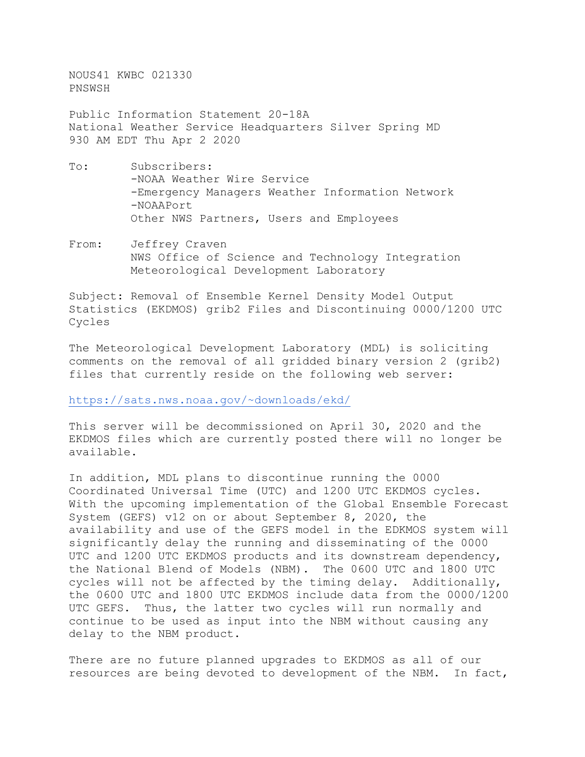NOUS41 KWBC 021330 PNSWSH

Public Information Statement 20-18A National Weather Service Headquarters Silver Spring MD 930 AM EDT Thu Apr 2 2020

- To: Subscribers: -NOAA Weather Wire Service -Emergency Managers Weather Information Network -NOAAPort Other NWS Partners, Users and Employees
- From: Jeffrey Craven NWS Office of Science and Technology Integration Meteorological Development Laboratory

Subject: Removal of Ensemble Kernel Density Model Output Statistics (EKDMOS) grib2 Files and Discontinuing 0000/1200 UTC Cycles

The Meteorological Development Laboratory (MDL) is soliciting comments on the removal of all gridded binary version 2 (grib2) files that currently reside on the following web server:

[https://sats.nws.noaa.gov/~downloads/ekd/](https://sats.nws.noaa.gov/%7Edownloads/ekd/)

This server will be decommissioned on April 30, 2020 and the EKDMOS files which are currently posted there will no longer be available.

In addition, MDL plans to discontinue running the 0000 Coordinated Universal Time (UTC) and 1200 UTC EKDMOS cycles. With the upcoming implementation of the Global Ensemble Forecast System (GEFS) v12 on or about September 8, 2020, the availability and use of the GEFS model in the EDKMOS system will significantly delay the running and disseminating of the 0000 UTC and 1200 UTC EKDMOS products and its downstream dependency, the National Blend of Models (NBM). The 0600 UTC and 1800 UTC cycles will not be affected by the timing delay. Additionally, the 0600 UTC and 1800 UTC EKDMOS include data from the 0000/1200 UTC GEFS. Thus, the latter two cycles will run normally and continue to be used as input into the NBM without causing any delay to the NBM product.

There are no future planned upgrades to EKDMOS as all of our resources are being devoted to development of the NBM. In fact,